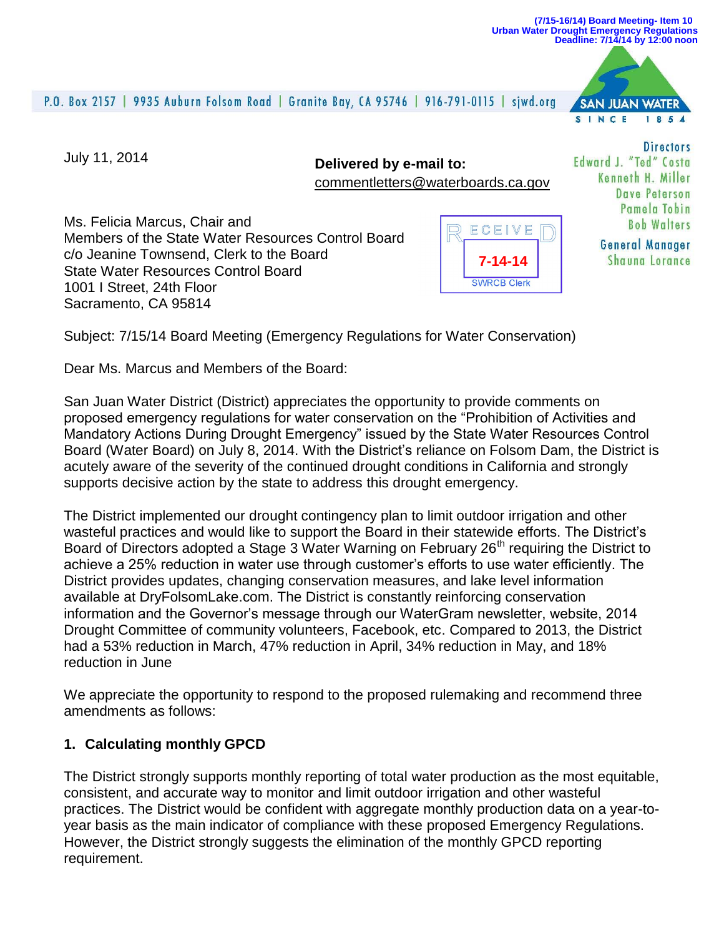#### **(7/15-16/14) Board Meeting- Item 10 Urban Water Drought Emergency Regulations Deadline: 7/14/14 by 12:00 noon**

#### P.O. Box 2157 | 9935 Auburn Folsom Road | Granite Bay, CA 95746 | 916-791-0115 | sjwd.org

**SAN JUAN WATER** SINCE 1854

July 11, 2014

**Delivered by e-mail to:** [commentletters@waterboards.ca.gov](mailto:commentletters@waterboards.ca.gov)

Ms. Felicia Marcus, Chair and Members of the State Water Resources Control Board c/o Jeanine Townsend, Clerk to the Board State Water Resources Control Board 1001 I Street, 24th Floor Sacramento, CA 95814



**Directors** Edward J. "Ted" Costa Kenneth H. Miller Dave Peterson Pamela Tobin **Roh Walters** 

> **General Manager Shauna Lorance**

Subject: 7/15/14 Board Meeting (Emergency Regulations for Water Conservation)

Dear Ms. Marcus and Members of the Board:

San Juan Water District (District) appreciates the opportunity to provide comments on proposed emergency regulations for water conservation on the "Prohibition of Activities and Mandatory Actions During Drought Emergency" issued by the State Water Resources Control Board (Water Board) on July 8, 2014. With the District's reliance on Folsom Dam, the District is acutely aware of the severity of the continued drought conditions in California and strongly supports decisive action by the state to address this drought emergency.

The District implemented our drought contingency plan to limit outdoor irrigation and other wasteful practices and would like to support the Board in their statewide efforts. The District's Board of Directors adopted a Stage 3 Water Warning on February 26<sup>th</sup> requiring the District to achieve a 25% reduction in water use through customer's efforts to use water efficiently. The District provides updates, changing conservation measures, and lake level information available at DryFolsomLake.com. The District is constantly reinforcing conservation information and the Governor's message through our WaterGram newsletter, website, 2014 Drought Committee of community volunteers, Facebook, etc. Compared to 2013, the District had a 53% reduction in March, 47% reduction in April, 34% reduction in May, and 18% reduction in June

We appreciate the opportunity to respond to the proposed rulemaking and recommend three amendments as follows:

### **1. Calculating monthly GPCD**

The District strongly supports monthly reporting of total water production as the most equitable, consistent, and accurate way to monitor and limit outdoor irrigation and other wasteful practices. The District would be confident with aggregate monthly production data on a year-toyear basis as the main indicator of compliance with these proposed Emergency Regulations. However, the District strongly suggests the elimination of the monthly GPCD reporting requirement.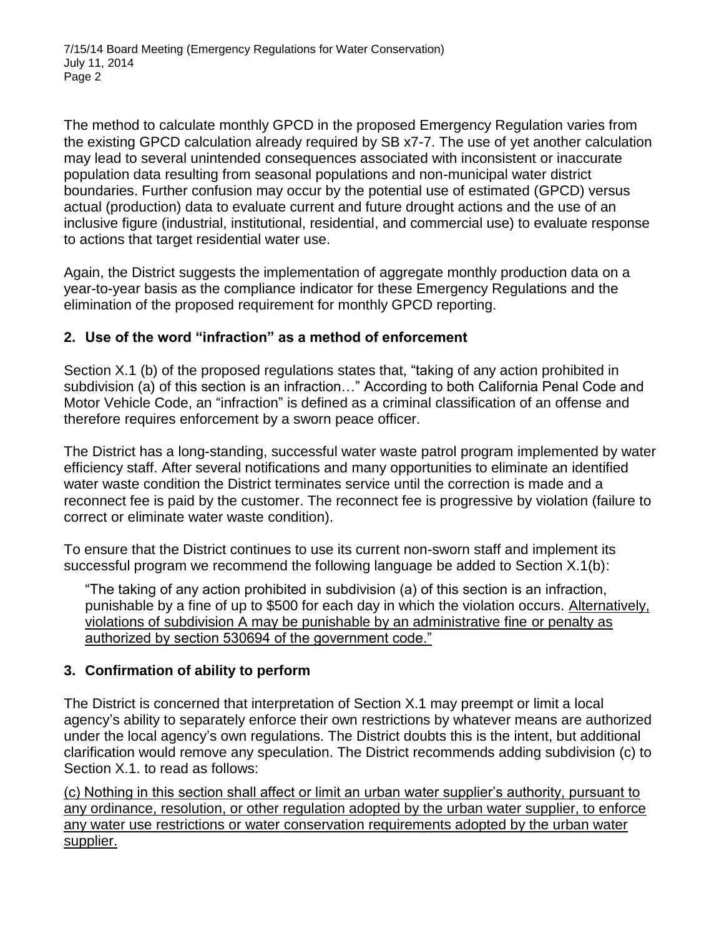The method to calculate monthly GPCD in the proposed Emergency Regulation varies from the existing GPCD calculation already required by SB x7-7. The use of yet another calculation may lead to several unintended consequences associated with inconsistent or inaccurate population data resulting from seasonal populations and non-municipal water district boundaries. Further confusion may occur by the potential use of estimated (GPCD) versus actual (production) data to evaluate current and future drought actions and the use of an inclusive figure (industrial, institutional, residential, and commercial use) to evaluate response to actions that target residential water use.

Again, the District suggests the implementation of aggregate monthly production data on a year-to-year basis as the compliance indicator for these Emergency Regulations and the elimination of the proposed requirement for monthly GPCD reporting.

## **2. Use of the word "infraction" as a method of enforcement**

Section X.1 (b) of the proposed regulations states that, "taking of any action prohibited in subdivision (a) of this section is an infraction..." According to both California Penal Code and Motor Vehicle Code, an "infraction" is defined as a criminal classification of an offense and therefore requires enforcement by a sworn peace officer.

The District has a long-standing, successful water waste patrol program implemented by water efficiency staff. After several notifications and many opportunities to eliminate an identified water waste condition the District terminates service until the correction is made and a reconnect fee is paid by the customer. The reconnect fee is progressive by violation (failure to correct or eliminate water waste condition).

To ensure that the District continues to use its current non-sworn staff and implement its successful program we recommend the following language be added to Section X.1(b):

"The taking of any action prohibited in subdivision (a) of this section is an infraction, punishable by a fine of up to \$500 for each day in which the violation occurs. Alternatively, violations of subdivision A may be punishable by an administrative fine or penalty as authorized by section 530694 of the government code."

# **3. Confirmation of ability to perform**

The District is concerned that interpretation of Section X.1 may preempt or limit a local agency's ability to separately enforce their own restrictions by whatever means are authorized under the local agency's own regulations. The District doubts this is the intent, but additional clarification would remove any speculation. The District recommends adding subdivision (c) to Section X.1. to read as follows:

(c) Nothing in this section shall affect or limit an urban water supplier's authority, pursuant to any ordinance, resolution, or other regulation adopted by the urban water supplier, to enforce any water use restrictions or water conservation requirements adopted by the urban water supplier.